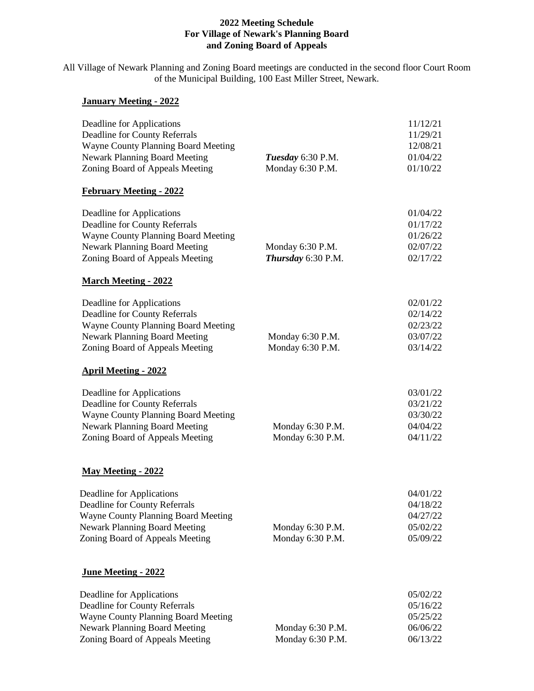## **2022 Meeting Schedule For Village of Newark's Planning Board and Zoning Board of Appeals**

All Village of Newark Planning and Zoning Board meetings are conducted in the second floor Court Room of the Municipal Building, 100 East Miller Street, Newark.

## **January Meeting - 2022**

| Deadline for Applications<br><b>Deadline for County Referrals</b><br><b>Wayne County Planning Board Meeting</b> |                                      | 11/12/21<br>11/29/21<br>12/08/21 |
|-----------------------------------------------------------------------------------------------------------------|--------------------------------------|----------------------------------|
| <b>Newark Planning Board Meeting</b>                                                                            | Tuesday 6:30 P.M.                    | 01/04/22                         |
| Zoning Board of Appeals Meeting                                                                                 | Monday 6:30 P.M.                     | 01/10/22                         |
| <b>February Meeting - 2022</b>                                                                                  |                                      |                                  |
| Deadline for Applications                                                                                       |                                      | 01/04/22                         |
| <b>Deadline for County Referrals</b><br><b>Wayne County Planning Board Meeting</b>                              |                                      | 01/17/22<br>01/26/22             |
| <b>Newark Planning Board Meeting</b>                                                                            | Monday 6:30 P.M.                     | 02/07/22                         |
| Zoning Board of Appeals Meeting                                                                                 | Thursday 6:30 P.M.                   | 02/17/22                         |
| <b>March Meeting - 2022</b>                                                                                     |                                      |                                  |
| Deadline for Applications                                                                                       |                                      | 02/01/22                         |
| Deadline for County Referrals<br><b>Wayne County Planning Board Meeting</b>                                     |                                      | 02/14/22<br>02/23/22             |
| <b>Newark Planning Board Meeting</b>                                                                            | Monday 6:30 P.M.                     | 03/07/22                         |
| Zoning Board of Appeals Meeting                                                                                 | Monday 6:30 P.M.                     | 03/14/22                         |
| <b>April Meeting - 2022</b>                                                                                     |                                      |                                  |
| Deadline for Applications                                                                                       |                                      | 03/01/22                         |
| <b>Deadline for County Referrals</b>                                                                            |                                      | 03/21/22                         |
| <b>Wayne County Planning Board Meeting</b>                                                                      |                                      | 03/30/22                         |
| <b>Newark Planning Board Meeting</b>                                                                            | Monday 6:30 P.M.                     | 04/04/22                         |
| Zoning Board of Appeals Meeting                                                                                 | Monday 6:30 P.M.                     | 04/11/22                         |
| <b>May Meeting - 2022</b>                                                                                       |                                      |                                  |
| Deadline for Applications                                                                                       |                                      | 04/01/22                         |
| <b>Deadline for County Referrals</b>                                                                            |                                      | 04/18/22                         |
| Wayne County Planning Board Meeting                                                                             |                                      | 04/27/22                         |
| <b>Newark Planning Board Meeting</b><br>Zoning Board of Appeals Meeting                                         | Monday 6:30 P.M.<br>Monday 6:30 P.M. | 05/02/22<br>05/09/22             |
|                                                                                                                 |                                      |                                  |
| <b>June Meeting - 2022</b>                                                                                      |                                      |                                  |
| Deadline for Applications                                                                                       |                                      | 05/02/22                         |
| <b>Deadline for County Referrals</b>                                                                            |                                      | 05/16/22                         |
| Wayne County Planning Board Meeting                                                                             |                                      | 05/25/22                         |
| <b>Newark Planning Board Meeting</b>                                                                            | Monday 6:30 P.M.                     | 06/06/22                         |

Zoning Board of Appeals Meeting Monday 6:30 P.M. 06/13/22